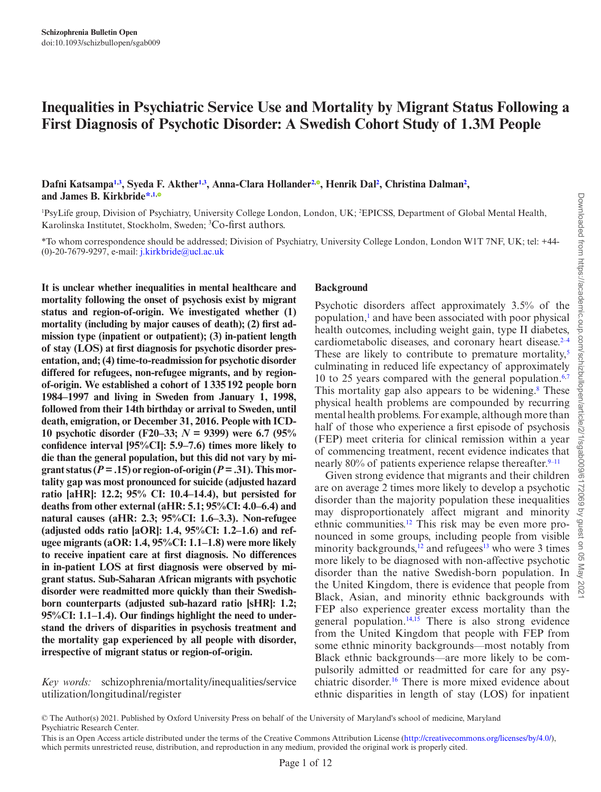# **Inequalities in Psychiatric Service Use and Mortality by Migrant Status Following a First Diagnosis of Psychotic Disorder: A Swedish Cohort Study of 1.3M People**

Dafni Katsampa<sup>1,[3](#page-0-1)</sup>, Syeda F. Akther<sup>1[,3](#page-0-1)</sup>, Anna-Clara Hollander<sup>[2](#page-0-2)[,](https://orcid.org/0000-0002-1246-5804)®</sup>, Henrik Dal<sup>2</sup>, Christina Dalman<sup>2</sup>, **and James B. Kirkbride[\\*](#page-0-3),[1](#page-0-0)[,](https://orcid.org/0000-0003-3401-0824)**

<span id="page-0-2"></span><span id="page-0-0"></span><sup>1</sup>PsyLife group, Division of Psychiatry, University College London, London, UK; <sup>2</sup>EPICSS, Department of Global Mental Health, Karolinska Institutet, Stockholm, Sweden; <sup>3</sup> Co-first authors.

<span id="page-0-3"></span>\*To whom correspondence should be addressed; Division of Psychiatry, University College London, London W1T 7NF, UK; tel: +44- (0)-20-7679-9297, e-mail: [j.kirkbride@ucl.ac.uk](mailto:j.kirkbride@ucl.ac.uk?subject=)

**It is unclear whether inequalities in mental healthcare and mortality following the onset of psychosis exist by migrant status and region-of-origin. We investigated whether (1) mortality (including by major causes of death); (2) first admission type (inpatient or outpatient); (3) in-patient length of stay (LOS) at first diagnosis for psychotic disorder presentation, and; (4) time-to-readmission for psychotic disorder differed for refugees, non-refugee migrants, and by regionof-origin. We established a cohort of 1335192 people born 1984–1997 and living in Sweden from January 1, 1998, followed from their 14th birthday or arrival to Sweden, until death, emigration, or December 31, 2016. People with ICD-10 psychotic disorder (F20–33;** *N* **= 9399) were 6.7 (95% confidence interval [95%CI]: 5.9–7.6) times more likely to die than the general population, but this did not vary by mi**grant status ( $P = .15$ ) or region-of-origin ( $P = .31$ ). This mor**tality gap was most pronounced for suicide (adjusted hazard ratio [aHR]: 12.2; 95% CI: 10.4–14.4), but persisted for deaths from other external (aHR: 5.1; 95%CI: 4.0–6.4) and natural causes (aHR: 2.3; 95%CI: 1.6–3.3). Non-refugee (adjusted odds ratio [aOR]: 1.4, 95%CI: 1.2–1.6) and refugee migrants (aOR: 1.4, 95%CI: 1.1–1.8) were more likely to receive inpatient care at first diagnosis. No differences in in-patient LOS at first diagnosis were observed by migrant status. Sub-Saharan African migrants with psychotic disorder were readmitted more quickly than their Swedishborn counterparts (adjusted sub-hazard ratio [sHR]: 1.2; 95%CI: 1.1–1.4). Our findings highlight the need to understand the drivers of disparities in psychosis treatment and the mortality gap experienced by all people with disorder, irrespective of migrant status or region-of-origin.**

*Key words:* schizophrenia/mortality/inequalities/service utilization/longitudinal/register

#### <span id="page-0-1"></span>**Background**

Psychotic disorders affect approximately 3.5% of the population,<sup>[1](#page-9-0)</sup> and have been associated with poor physical health outcomes, including weight gain, type II diabetes, cardiometabolic diseases, and coronary heart disease. $2-4$  $2-4$ These are likely to contribute to premature mortality, $5$ culminating in reduced life expectancy of approximately 10 to 25 years compared with the general population. $6,7$  $6,7$ This mortality gap also appears to be widening.<sup>8</sup> These physical health problems are compounded by recurring mental health problems. For example, although more than half of those who experience a first episode of psychosis (FEP) meet criteria for clinical remission within a year of commencing treatment, recent evidence indicates that nearly 80% of patients experience relapse thereafter.  $9-11$  $9-11$ 

Given strong evidence that migrants and their children are on average 2 times more likely to develop a psychotic disorder than the majority population these inequalities may disproportionately affect migrant and minority ethnic communities[.12](#page-10-0) This risk may be even more pronounced in some groups, including people from visible minority backgrounds,<sup>12</sup> and refugees<sup>13</sup> who were 3 times more likely to be diagnosed with non-affective psychotic disorder than the native Swedish-born population. In the United Kingdom, there is evidence that people from Black, Asian, and minority ethnic backgrounds with FEP also experience greater excess mortality than the general population. $14,15$  $14,15$  There is also strong evidence from the United Kingdom that people with FEP from some ethnic minority backgrounds—most notably from Black ethnic backgrounds—are more likely to be compulsorily admitted or readmitted for care for any psychiatric disorder[.16](#page-10-4) There is more mixed evidence about ethnic disparities in length of stay (LOS) for inpatient

<sup>©</sup> The Author(s) 2021. Published by Oxford University Press on behalf of the University of Maryland's school of medicine, Maryland Psychiatric Research Center.

This is an Open Access article distributed under the terms of the Creative Commons Attribution License [\(http://creativecommons.org/licenses/by/4.0/\)](http://creativecommons.org/licenses/by/4.0/), which permits unrestricted reuse, distribution, and reproduction in any medium, provided the original work is properly cited.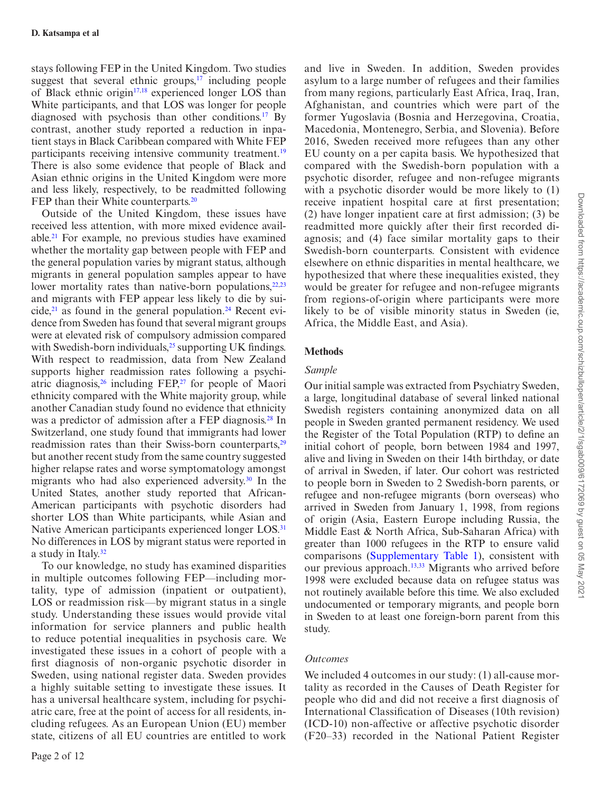stays following FEP in the United Kingdom. Two studies suggest that several ethnic groups, $17$  including people of Black ethnic origin<sup>[17,](#page-10-5)18</sup> experienced longer LOS than White participants, and that LOS was longer for people diagnosed with psychosis than other conditions.[17](#page-10-5) By contrast, another study reported a reduction in inpatient stays in Black Caribbean compared with White FEP participants receiving intensive community treatment.<sup>[19](#page-10-7)</sup> There is also some evidence that people of Black and Asian ethnic origins in the United Kingdom were more and less likely, respectively, to be readmitted following FEP than their White counterparts.<sup>[20](#page-10-8)</sup>

Outside of the United Kingdom, these issues have received less attention, with more mixed evidence available.[21](#page-10-9) For example, no previous studies have examined whether the mortality gap between people with FEP and the general population varies by migrant status, although migrants in general population samples appear to have lower mortality rates than native-born populations, $22,23$  $22,23$  $22,23$ and migrants with FEP appear less likely to die by suicide, $21$  as found in the general population.<sup>24</sup> Recent evidence from Sweden has found that several migrant groups were at elevated risk of compulsory admission compared with Swedish-born individuals,<sup>25</sup> supporting UK findings. With respect to readmission, data from New Zealand supports higher readmission rates following a psychiatric diagnosis, $26$  including FEP, $27$  for people of Maori ethnicity compared with the White majority group, while another Canadian study found no evidence that ethnicity was a predictor of admission after a FEP diagnosis.<sup>28</sup> In Switzerland, one study found that immigrants had lower readmission rates than their Swiss-born counterparts,<sup>[29](#page-10-17)</sup> but another recent study from the same country suggested higher relapse rates and worse symptomatology amongst migrants who had also experienced adversity.<sup>30</sup> In the United States, another study reported that African-American participants with psychotic disorders had shorter LOS than White participants, while Asian and Native American participants experienced longer LOS.<sup>[31](#page-10-19)</sup> No differences in LOS by migrant status were reported in a study in Italy.<sup>32</sup>

To our knowledge, no study has examined disparities in multiple outcomes following FEP—including mortality, type of admission (inpatient or outpatient), LOS or readmission risk—by migrant status in a single study. Understanding these issues would provide vital information for service planners and public health to reduce potential inequalities in psychosis care. We investigated these issues in a cohort of people with a first diagnosis of non-organic psychotic disorder in Sweden, using national register data. Sweden provides a highly suitable setting to investigate these issues. It has a universal healthcare system, including for psychiatric care, free at the point of access for all residents, including refugees. As an European Union (EU) member state, citizens of all EU countries are entitled to work

and live in Sweden. In addition, Sweden provides asylum to a large number of refugees and their families from many regions, particularly East Africa, Iraq, Iran, Afghanistan, and countries which were part of the former Yugoslavia (Bosnia and Herzegovina, Croatia, Macedonia, Montenegro, Serbia, and Slovenia). Before 2016, Sweden received more refugees than any other EU county on a per capita basis. We hypothesized that compared with the Swedish-born population with a psychotic disorder, refugee and non-refugee migrants with a psychotic disorder would be more likely to (1) receive inpatient hospital care at first presentation; (2) have longer inpatient care at first admission; (3) be readmitted more quickly after their first recorded diagnosis; and (4) face similar mortality gaps to their Swedish-born counterparts. Consistent with evidence elsewhere on ethnic disparities in mental healthcare, we hypothesized that where these inequalities existed, they would be greater for refugee and non-refugee migrants from regions-of-origin where participants were more likely to be of visible minority status in Sweden (ie, Africa, the Middle East, and Asia).

### **Methods**

#### *Sample*

Our initial sample was extracted from Psychiatry Sweden, a large, longitudinal database of several linked national Swedish registers containing anonymized data on all people in Sweden granted permanent residency. We used the Register of the Total Population (RTP) to define an initial cohort of people, born between 1984 and 1997, alive and living in Sweden on their 14th birthday, or date of arrival in Sweden, if later. Our cohort was restricted to people born in Sweden to 2 Swedish-born parents, or refugee and non-refugee migrants (born overseas) who arrived in Sweden from January 1, 1998, from regions of origin (Asia, Eastern Europe including Russia, the Middle East & North Africa, Sub-Saharan Africa) with greater than 1000 refugees in the RTP to ensure valid comparisons ([Supplementary Table 1\)](http://academic.oup.com/schizophreniabulletin/article-lookup/doi/10.1093/schizbullopen/sgab009#supplementary-data), consistent with our previous approach.<sup>[13,](#page-10-1)33</sup> Migrants who arrived before 1998 were excluded because data on refugee status was not routinely available before this time. We also excluded undocumented or temporary migrants, and people born in Sweden to at least one foreign-born parent from this study.

#### *Outcomes*

We included 4 outcomes in our study: (1) all-cause mortality as recorded in the Causes of Death Register for people who did and did not receive a first diagnosis of International Classification of Diseases (10th revision) (ICD-10) non-affective or affective psychotic disorder (F20–33) recorded in the National Patient Register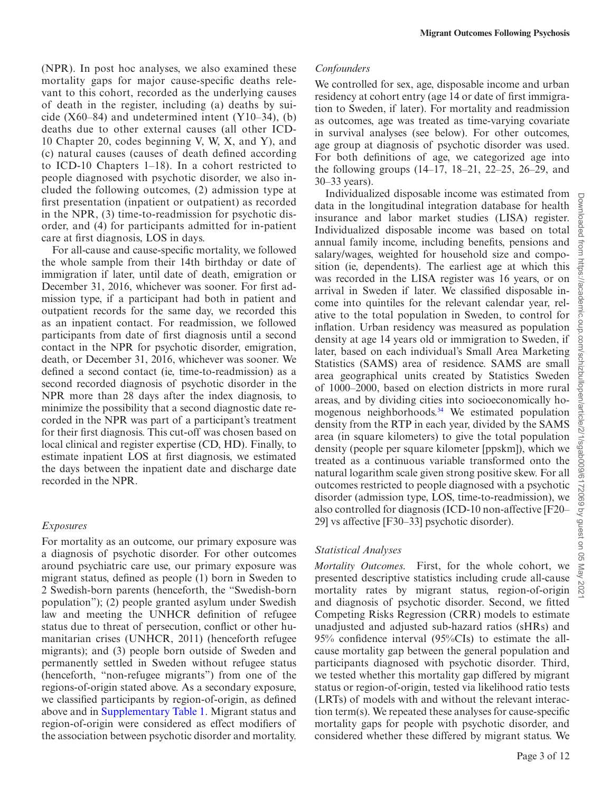(NPR). In post hoc analyses, we also examined these mortality gaps for major cause-specific deaths relevant to this cohort, recorded as the underlying causes of death in the register, including (a) deaths by suicide  $(X60-84)$  and undetermined intent  $(Y10-34)$ , (b) deaths due to other external causes (all other ICD-10 Chapter 20, codes beginning V, W, X, and Y), and (c) natural causes (causes of death defined according to ICD-10 Chapters 1–18). In a cohort restricted to people diagnosed with psychotic disorder, we also included the following outcomes, (2) admission type at first presentation (inpatient or outpatient) as recorded in the NPR, (3) time-to-readmission for psychotic disorder, and (4) for participants admitted for in-patient care at first diagnosis, LOS in days.

For all-cause and cause-specific mortality, we followed the whole sample from their 14th birthday or date of immigration if later, until date of death, emigration or December 31, 2016, whichever was sooner. For first admission type, if a participant had both in patient and outpatient records for the same day, we recorded this as an inpatient contact. For readmission, we followed participants from date of first diagnosis until a second contact in the NPR for psychotic disorder, emigration, death, or December 31, 2016, whichever was sooner. We defined a second contact (ie, time-to-readmission) as a second recorded diagnosis of psychotic disorder in the NPR more than 28 days after the index diagnosis, to minimize the possibility that a second diagnostic date recorded in the NPR was part of a participant's treatment for their first diagnosis. This cut-off was chosen based on local clinical and register expertise (CD, HD). Finally, to estimate inpatient LOS at first diagnosis, we estimated the days between the inpatient date and discharge date recorded in the NPR.

#### *Exposures*

For mortality as an outcome, our primary exposure was a diagnosis of psychotic disorder. For other outcomes around psychiatric care use, our primary exposure was migrant status, defined as people (1) born in Sweden to 2 Swedish-born parents (henceforth, the "Swedish-born population"); (2) people granted asylum under Swedish law and meeting the UNHCR definition of refugee status due to threat of persecution, conflict or other humanitarian crises (UNHCR, 2011) (henceforth refugee migrants); and (3) people born outside of Sweden and permanently settled in Sweden without refugee status (henceforth, "non-refugee migrants") from one of the regions-of-origin stated above. As a secondary exposure, we classified participants by region-of-origin, as defined above and in [Supplementary Table 1.](http://academic.oup.com/schizophreniabulletin/article-lookup/doi/10.1093/schizbullopen/sgab009#supplementary-data) Migrant status and region-of-origin were considered as effect modifiers of the association between psychotic disorder and mortality.

#### *Confounders*

We controlled for sex, age, disposable income and urban residency at cohort entry (age 14 or date of first immigration to Sweden, if later). For mortality and readmission as outcomes, age was treated as time-varying covariate in survival analyses (see below). For other outcomes, age group at diagnosis of psychotic disorder was used.<br>For both definitions of age, we categorized age into For both definitions of age, we categorized age into the following groups (14–17, 18–21, 22–25, 26–29, and 30–33 years).

Individualized disposable income was estimated from data in the longitudinal integration database for health insurance and labor market studies (LISA) register. Individualized disposable income was based on total annual family income, including benefits, pensions and salary/wages, weighted for household size and composition (ie, dependents). The earliest age at which this was recorded in the LISA register was 16 years, or on arrival in Sweden if later. We classified disposable income into quintiles for the relevant calendar year, relative to the total population in Sweden, to control for inflation. Urban residency was measured as population density at age 14 years old or immigration to Sweden, if later, based on each individual's Small Area Marketing Statistics (SAMS) area of residence. SAMS are small area geographical units created by Statistics Sweden of 1000–2000, based on election districts in more rural areas, and by dividing cities into socioeconomically homogenous neighborhoods[.34](#page-10-22) We estimated population density from the RTP in each year, divided by the SAMS area (in square kilometers) to give the total population density (people per square kilometer [ppskm]), which we treated as a continuous variable transformed onto the natural logarithm scale given strong positive skew. For all outcomes restricted to people diagnosed with a psychotic disorder (admission type, LOS, time-to-readmission), we also controlled for diagnosis (ICD-10 non-affective [F20– 29] vs affective [F30–33] psychotic disorder).

#### *Statistical Analyses*

*Mortality Outcomes.* First, for the whole cohort, we presented descriptive statistics including crude all-cause mortality rates by migrant status, region-of-origin and diagnosis of psychotic disorder. Second, we fitted Competing Risks Regression (CRR) models to estimate unadjusted and adjusted sub-hazard ratios (sHRs) and 95% confidence interval (95%CIs) to estimate the allcause mortality gap between the general population and participants diagnosed with psychotic disorder. Third, we tested whether this mortality gap differed by migrant status or region-of-origin, tested via likelihood ratio tests (LRTs) of models with and without the relevant interaction term(s). We repeated these analyses for cause-specific mortality gaps for people with psychotic disorder, and considered whether these differed by migrant status. We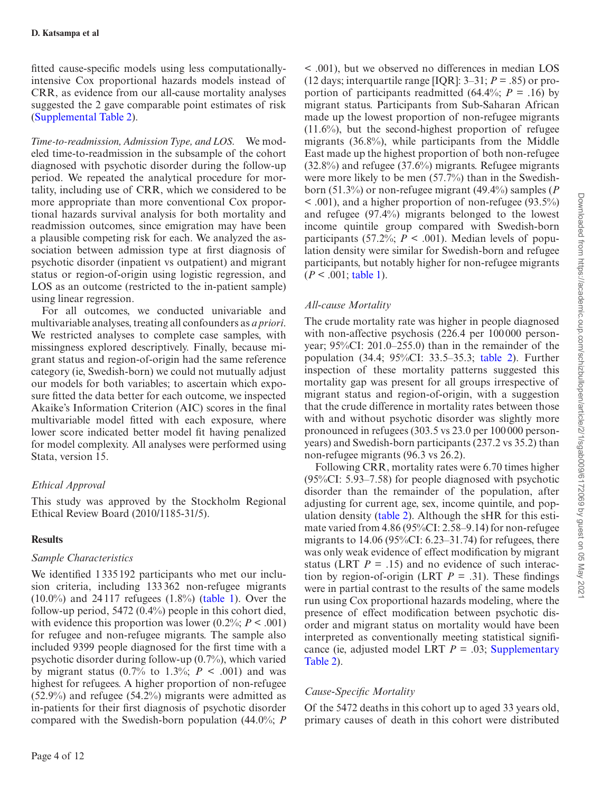fitted cause-specific models using less computationallyintensive Cox proportional hazards models instead of CRR, as evidence from our all-cause mortality analyses suggested the 2 gave comparable point estimates of risk [\(Supplemental Table 2](http://academic.oup.com/schizophreniabulletin/article-lookup/doi/10.1093/schizbullopen/sgab009#supplementary-data)).

*Time-to-readmission, Admission Type, and LOS.* We modeled time-to-readmission in the subsample of the cohort diagnosed with psychotic disorder during the follow-up period. We repeated the analytical procedure for mortality, including use of CRR, which we considered to be more appropriate than more conventional Cox proportional hazards survival analysis for both mortality and readmission outcomes, since emigration may have been a plausible competing risk for each. We analyzed the association between admission type at first diagnosis of psychotic disorder (inpatient vs outpatient) and migrant status or region-of-origin using logistic regression, and LOS as an outcome (restricted to the in-patient sample) using linear regression.

For all outcomes, we conducted univariable and multivariable analyses, treating all confounders as *a priori*. We restricted analyses to complete case samples, with missingness explored descriptively. Finally, because migrant status and region-of-origin had the same reference category (ie, Swedish-born) we could not mutually adjust our models for both variables; to ascertain which exposure fitted the data better for each outcome, we inspected Akaike's Information Criterion (AIC) scores in the final multivariable model fitted with each exposure, where lower score indicated better model fit having penalized for model complexity. All analyses were performed using Stata, version 15.

# *Ethical Approval*

This study was approved by the Stockholm Regional Ethical Review Board (2010/1185-31/5).

#### **Results**

#### *Sample Characteristics*

We identified 1 335192 participants who met our inclusion criteria, including 133362 non-refugee migrants (10.0%) and 24 117 refugees (1.8%) ([table 1\)](#page-4-0). Over the follow-up period, 5472 (0.4%) people in this cohort died, with evidence this proportion was lower  $(0.2\%; P < .001)$ for refugee and non-refugee migrants. The sample also included 9399 people diagnosed for the first time with a psychotic disorder during follow-up (0.7%), which varied by migrant status  $(0.7\%$  to 1.3%;  $P < .001$ ) and was highest for refugees. A higher proportion of non-refugee (52.9%) and refugee (54.2%) migrants were admitted as in-patients for their first diagnosis of psychotic disorder compared with the Swedish-born population (44.0%; *P*

< .001), but we observed no differences in median LOS (12 days; interquartile range [IQR]:  $3-31$ ;  $P = .85$ ) or proportion of participants readmitted (64.4%;  $P = .16$ ) by migrant status. Participants from Sub-Saharan African made up the lowest proportion of non-refugee migrants  $(11.6\%)$ , but the second-highest proportion of refugee migrants (36.8%), while participants from the Middle East made up the highest proportion of both non-refugee (32.8%) and refugee (37.6%) migrants. Refugee migrants were more likely to be men (57.7%) than in the Swedishborn (51.3%) or non-refugee migrant (49.4%) samples (*P* < .001), and a higher proportion of non-refugee (93.5%) and refugee (97.4%) migrants belonged to the lowest income quintile group compared with Swedish-born participants (57.2%;  $P < .001$ ). Median levels of population density were similar for Swedish-born and refugee participants, but notably higher for non-refugee migrants  $(P < .001$ ; [table 1\)](#page-4-0).

# *All-cause Mortality*

The crude mortality rate was higher in people diagnosed with non-affective psychosis (226.4 per 100000 personyear; 95%CI: 201.0–255.0) than in the remainder of the population (34.4; 95%CI: 33.5–35.3; [table 2](#page-5-0)). Further inspection of these mortality patterns suggested this mortality gap was present for all groups irrespective of migrant status and region-of-origin, with a suggestion that the crude difference in mortality rates between those with and without psychotic disorder was slightly more pronounced in refugees (303.5 vs 23.0 per 100 000 personyears) and Swedish-born participants (237.2 vs 35.2) than non-refugee migrants (96.3 vs 26.2).

Following CRR, mortality rates were 6.70 times higher (95%CI: 5.93–7.58) for people diagnosed with psychotic disorder than the remainder of the population, after adjusting for current age, sex, income quintile, and population density ([table 2](#page-5-0)). Although the sHR for this estimate varied from 4.86 (95%CI: 2.58–9.14) for non-refugee migrants to  $14.06$  (95%CI: 6.23–31.74) for refugees, there was only weak evidence of effect modification by migrant status (LRT  $P = .15$ ) and no evidence of such interaction by region-of-origin (LRT  $P = .31$ ). These findings were in partial contrast to the results of the same models run using Cox proportional hazards modeling, where the presence of effect modification between psychotic disorder and migrant status on mortality would have been interpreted as conventionally meeting statistical significance (ie, adjusted model LRT  $P = .03$ ; Supplementary [Table 2\)](http://academic.oup.com/schizophreniabulletin/article-lookup/doi/10.1093/schizbullopen/sgab009#supplementary-data).

# *Cause-Specific Mortality*

Of the 5472 deaths in this cohort up to aged 33 years old, primary causes of death in this cohort were distributed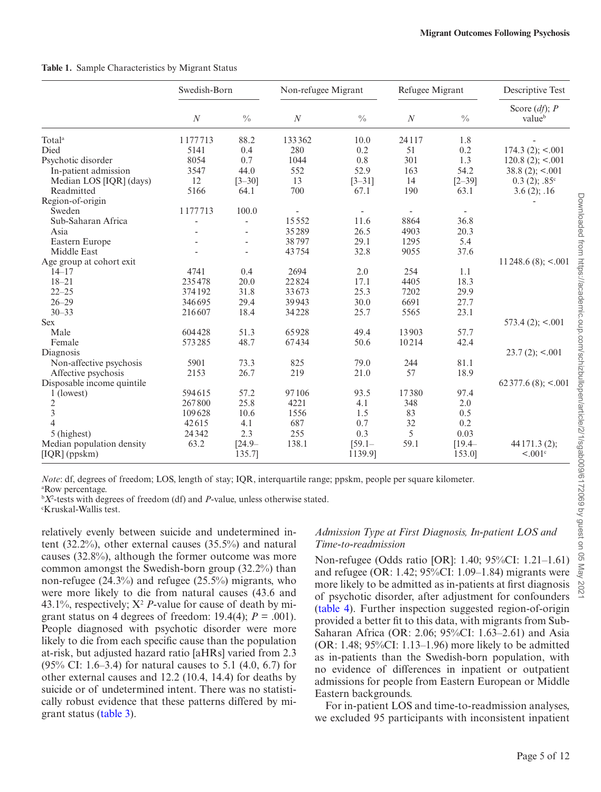|                            | Swedish-Born     |                          | Non-refugee Migrant |                          | Refugee Migrant |               | Descriptive Test           |
|----------------------------|------------------|--------------------------|---------------------|--------------------------|-----------------|---------------|----------------------------|
|                            | $\boldsymbol{N}$ | $\frac{0}{0}$            | $\cal N$            | $\frac{0}{0}$            | $\cal N$        | $\frac{0}{0}$ | Score $(df)$ ; P<br>valueb |
| Total <sup>a</sup>         | 1177713          | 88.2                     | 133362              | 10.0                     | 24117           | 1.8           |                            |
| Died                       | 5141             | 0.4                      | 280                 | 0.2                      | 51              | 0.2           | $174.3(2)$ ; <.001         |
| Psychotic disorder         | 8054             | 0.7                      | 1044                | 0.8                      | 301             | 1.3           | $120.8(2)$ ; <.001         |
| In-patient admission       | 3547             | 44.0                     | 552                 | 52.9                     | 163             | 54.2          | $38.8(2)$ ; <.001          |
| Median LOS [IQR] (days)    | 12               | $[3 - 30]$               | 13                  | $[3 - 31]$               | 14              | $[2 - 39]$    | $0.3(2); .85^{\circ}$      |
| Readmitted                 | 5166             | 64.1                     | 700                 | 67.1                     | 190             | 63.1          | 3.6(2); .16                |
| Region-of-origin           |                  |                          |                     |                          |                 |               |                            |
| Sweden                     | 1177713          | 100.0                    |                     | $\overline{\phantom{a}}$ |                 |               |                            |
| Sub-Saharan Africa         |                  | $\overline{\phantom{0}}$ | 15552               | 11.6                     | 8864            | 36.8          |                            |
| Asia                       |                  | L,                       | 35289               | 26.5                     | 4903            | 20.3          |                            |
| Eastern Europe             |                  | L,                       | 38797               | 29.1                     | 1295            | 5.4           |                            |
| Middle East                |                  | $\overline{\phantom{0}}$ | 43754               | 32.8                     | 9055            | 37.6          |                            |
| Age group at cohort exit   |                  |                          |                     |                          |                 |               | 11 248.6 $(8)$ ; <.001     |
| $14 - 17$                  | 4741             | 0.4                      | 2694                | 2.0                      | 254             | 1.1           |                            |
| $18 - 21$                  | 235478           | 20.0                     | 22824               | 17.1                     | 4405            | 18.3          |                            |
| $22 - 25$                  | 374192           | 31.8                     | 33673               | 25.3                     | 7202            | 29.9          |                            |
| $26 - 29$                  | 346695           | 29.4                     | 39943               | 30.0                     | 6691            | 27.7          |                            |
| $30 - 33$                  | 216607           | 18.4                     | 34228               | 25.7                     | 5565            | 23.1          |                            |
| <b>Sex</b>                 |                  |                          |                     |                          |                 |               | $573.4(2)$ ; <.001         |
| Male                       | 604428           | 51.3                     | 65928               | 49.4                     | 13903           | 57.7          |                            |
| Female                     | 573285           | 48.7                     | 67434               | 50.6                     | 10214           | 42.4          |                            |
| Diagnosis                  |                  |                          |                     |                          |                 |               | $23.7(2)$ ; <.001          |
| Non-affective psychosis    | 5901             | 73.3                     | 825                 | 79.0                     | 244             | 81.1          |                            |
| Affective psychosis        | 2153             | 26.7                     | 219                 | 21.0                     | 57              | 18.9          |                            |
| Disposable income quintile |                  |                          |                     |                          |                 |               | $62377.6(8)$ ; <.001       |
| 1 (lowest)                 | 594615           | 57.2                     | 97106               | 93.5                     | 17380           | 97.4          |                            |
| 2                          | 267800           | 25.8                     | 4221                | 4.1                      | 348             | 2.0           |                            |
| $\overline{3}$             | 109628           | 10.6                     | 1556                | 1.5                      | 83              | 0.5           |                            |
| $\overline{4}$             | 42615            | 4.1                      | 687                 | 0.7                      | 32              | 0.2           |                            |
| 5 (highest)                | 24342            | 2.3                      | 255                 | 0.3                      | 5               | 0.03          |                            |
| Median population density  | 63.2             | $[24.9 -$                | 138.1               | $[59.1 -$                | 59.1            | $[19.4 -$     | 44 171.3 (2);              |
| $[IQR]$ (ppskm)            |                  | 135.7]                   |                     | 1139.9]                  |                 | 153.01        | $\leq 0.01$ c              |

<span id="page-4-0"></span>**Table 1.** Sample Characteristics by Migrant Status

*Note*: df, degrees of freedom; LOS, length of stay; IQR, interquartile range; ppskm, people per square kilometer.

a Row percentage.

b *Χ*<sup>2</sup> -tests with degrees of freedom (df) and *P*-value, unless otherwise stated.

c Kruskal-Wallis test.

relatively evenly between suicide and undetermined intent (32.2%), other external causes (35.5%) and natural causes (32.8%), although the former outcome was more common amongst the Swedish-born group (32.2%) than non-refugee (24.3%) and refugee (25.5%) migrants, who were more likely to die from natural causes (43.6 and 43.1%, respectively;  $X^2$  *P*-value for cause of death by migrant status on 4 degrees of freedom:  $19.4(4)$ ;  $P = .001$ ). People diagnosed with psychotic disorder were more likely to die from each specific cause than the population at-risk, but adjusted hazard ratio [aHRs] varied from 2.3 (95% CI: 1.6–3.4) for natural causes to 5.1 (4.0, 6.7) for other external causes and 12.2 (10.4, 14.4) for deaths by suicide or of undetermined intent. There was no statistically robust evidence that these patterns differed by migrant status [\(table 3\)](#page-6-0).

#### *Admission Type at First Diagnosis, In-patient LOS and Time-to-readmission*

Non-refugee (Odds ratio [OR]: 1.40; 95%CI: 1.21–1.61) and refugee (OR: 1.42; 95%CI: 1.09–1.84) migrants were more likely to be admitted as in-patients at first diagnosis of psychotic disorder, after adjustment for confounders [\(table 4](#page-7-0)). Further inspection suggested region-of-origin provided a better fit to this data, with migrants from Sub-Saharan Africa (OR: 2.06; 95%CI: 1.63–2.61) and Asia (OR: 1.48; 95%CI: 1.13–1.96) more likely to be admitted as in-patients than the Swedish-born population, with no evidence of differences in inpatient or outpatient admissions for people from Eastern European or Middle Eastern backgrounds.

For in-patient LOS and time-to-readmission analyses, we excluded 95 participants with inconsistent inpatient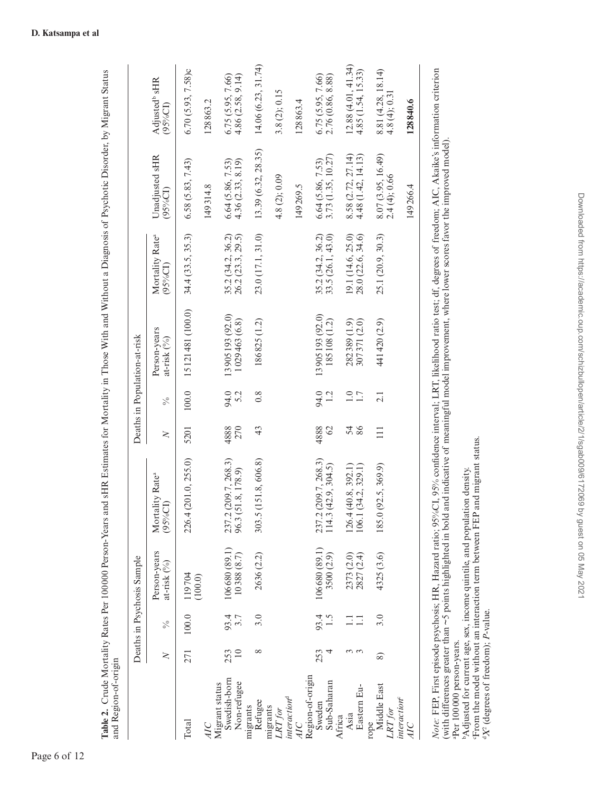|                                               |                        |               | Deaths in Psychosis Sample                                      |                                                                                                                                                                                |                      |                  | Deaths in Population-at-risk     |                                            |                                        |                                          |
|-----------------------------------------------|------------------------|---------------|-----------------------------------------------------------------|--------------------------------------------------------------------------------------------------------------------------------------------------------------------------------|----------------------|------------------|----------------------------------|--------------------------------------------|----------------------------------------|------------------------------------------|
|                                               | $\geq$                 | $\frac{5}{6}$ | Person-years<br>at-risk $(^{9}_{0})$                            | Mortality Rate <sup>a</sup><br>$(95\%CI)$                                                                                                                                      | $\geq$               | $\frac{5}{6}$    | Person-years<br>at-risk (%)      | Mortality Rate <sup>a</sup><br>$(95\%$ CI) | Unadjusted sHR<br>$(95\%CI)$           | Adjusted <sup>b</sup> sHR<br>$(95\%$ CI) |
| Total                                         | 271                    | 100.0         | 119704<br>(100.0)                                               | 226.4 (201.0, 255.0)                                                                                                                                                           | 5201                 | $100.0$          | 15121481 (100.0)                 | 34.4 (33.5, 35.3)                          | 6.58(5.83, 7.43)                       | 6.70(5.93, 7.58)c                        |
| AIC                                           |                        |               |                                                                 |                                                                                                                                                                                |                      |                  |                                  |                                            | 149314.8                               | 128863.2                                 |
| Swedish-born<br>Non-refugee<br>Migrant status | $\overline{10}$<br>253 | 93.7<br>3.7   | $\frac{106\,680\,\left(89.1\right)}{10\,388\,\left(8.7\right)}$ | 237.2 (209.7, 268.3)<br>96.3 (51.8, 178.9)                                                                                                                                     | 4888<br>270          | 94.0<br>5.2      | 13905193 (92.0)<br>1029463 (6.8) | 35.2 (34.2, 36.2)<br>26.2 (23.3, 29.5)     | 4.36(2.33, 8.19)<br>6.64 (5.86, 7.53)  | 4.86 (2.58, 9.14)<br>6.75(5.95, 7.66)    |
| Refugee<br>migrants                           | ∞                      | 3.0           | 2636 (2.2)                                                      | 303.5 (151.8, 606.8)                                                                                                                                                           | 43                   | $0.\overline{8}$ | 186825 (1.2)                     | 23.0 (17.1, 31.0)                          | 13.39 (6.32, 28.35)                    | 14.06(6.23, 31.74)                       |
| migrants<br>LRT for                           |                        |               |                                                                 |                                                                                                                                                                                |                      |                  |                                  |                                            | 4.8(2);0.09                            | 3.8(2); 0.15                             |
| interaction <sup>d</sup>                      |                        |               |                                                                 |                                                                                                                                                                                |                      |                  |                                  |                                            | 149269.5                               | 128863.4                                 |
| Region-of-origin<br>Sub-Saharan<br>Sweden     | 253                    | 93.4<br>1.5   | 106680 (89.1)<br>3500 (2.9)                                     | 237.2 (209.7, 268.3)<br>114.3(42.9, 304.5)                                                                                                                                     | 4888<br>$\heartsuit$ | 94.0<br>1.2      | 13905193 (92.0)<br>185108 (1.2)  | 33.5 (26.1, 43.0)<br>35.2 (34.2, 36.2)     | 3.73(1.35, 10.27)<br>6.64 (5.86, 7.53) | 2.76 (0.86, 8.88)<br>6.75(5.95, 7.66)    |
| Asia<br>Africa                                |                        |               |                                                                 | 126.4(40.8, 392.1)                                                                                                                                                             |                      |                  | 282389 (1.9)                     | 19.1 (14.6, 25.0)                          | 8.58 (2.72, 27.14)                     | 12.88(4.01, 41.34)                       |
| Eastern Eu-                                   | $\omega$ $\omega$      | $\Xi \Xi$     | 2373 (2.0)<br>2827 (2.4)                                        | 106.1(34.2, 329.1)                                                                                                                                                             | 54<br>86             | $\frac{0}{1.7}$  | 307371 (2.0)                     | 28.0 (22.6, 34.6)                          | 4.48(1.42, 14.13)                      | 4.85 (1.54, 15.33)                       |
| Middle East<br>LRT for<br>rope                | $\circledcirc$         | 3.0           | 4325 (3.6)                                                      | 185.0 (92.5, 369.9)                                                                                                                                                            | $\equiv$             | 2.1              | 441420 (2.9)                     | 25.1 (20.9, 30.3)                          | 8.07 (3.95, 16.49)<br>2.4(4);0.66      | 8.81 (4.28, 18.14)<br>4.8(4);0.3         |
| <i>interaction</i> <sup>c</sup><br>AIC        |                        |               |                                                                 |                                                                                                                                                                                |                      |                  |                                  |                                            | 149266.4                               | 128840.6                                 |
|                                               |                        |               |                                                                 | Note: FEP, First episode psychosis; HR, Hazard ratio; 95%(OI, 95% confidence interval; LRT, likelihood ratio test; df; degrees of freedom; AIC, Akaike's information criterion |                      |                  |                                  |                                            |                                        |                                          |

Table 2. Crude Mortality Rates Per 100000 Person-Years and sHR Estimates for Mortality in Those With and Without a Diagnosis of Psychotic Disorder, by Migrant Status **Table 2.** Crude Mortality Rates Per 100 000 Person-Years and sHR Estimates for Mortality in Those With and Without a Diagnosis of Psychotic Disorder, by Migrant Status and Region-of-origin and Region-of-origin *Note:* FEP, First episode psychosis; HR, Hazard ratio; 95%CI, 95% confidence interval; LRT, likelihood ratio test; df, degrees of freedom; AIC, Akaike's information criterion (with differences greater than ~5 points highlighted in bold and indicative of meaningful model improvement, where lower scores favor the improved model). (with differences greater than ~5 points highlighted in bold and indicative of meaningful model improvement, where lower scores favor the improved model). aper 100000 person-years. aPer 100000 person-years.

 $b$ Adjusted for current age, sex, income quintile, and population density.<br>
"Adjusted for current age, sex, income quintile, and population density.<br>
"From the model without an interaction term between FEP and migrant sta bAdjusted for current age, sex, income quintile, and population density.

cFrom the model without an interaction term between FEP and migrant status.

<span id="page-5-0"></span>d*Χ*2 (degrees of freedom); *P*-value.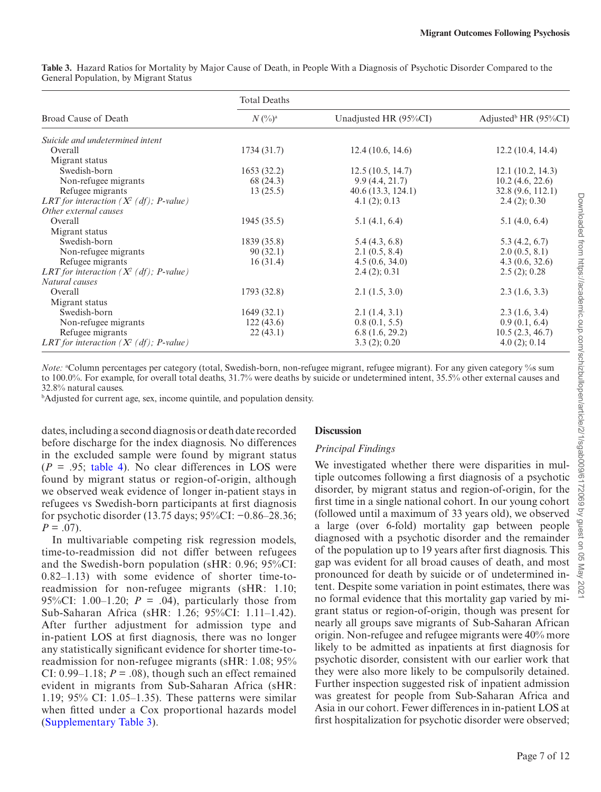|                                             | <b>Total Deaths</b>           |                       |                                     |
|---------------------------------------------|-------------------------------|-----------------------|-------------------------------------|
| Broad Cause of Death                        | $N\left(\frac{0}{0}\right)^a$ | Unadjusted HR (95%CI) | Adjusted <sup>b</sup> HR $(95\%CI)$ |
| Suicide and undetermined intent             |                               |                       |                                     |
| Overall                                     | 1734(31.7)                    | 12.4(10.6, 14.6)      | 12.2(10.4, 14.4)                    |
| Migrant status                              |                               |                       |                                     |
| Swedish-born                                | 1653(32.2)                    | 12.5(10.5, 14.7)      | 12.1(10.2, 14.3)                    |
| Non-refugee migrants                        | 68 (24.3)                     | 9.9(4.4, 21.7)        | 10.2(4.6, 22.6)                     |
| Refugee migrants                            | 13(25.5)                      | 40.6(13.3, 124.1)     | 32.8(9.6, 112.1)                    |
| LRT for interaction $(X^2 (df))$ ; P-value) |                               | 4.1(2); 0.13          | 2.4(2); 0.30                        |
| Other external causes                       |                               |                       |                                     |
| Overall                                     | 1945(35.5)                    | 5.1(4.1, 6.4)         | 5.1(4.0, 6.4)                       |
| Migrant status                              |                               |                       |                                     |
| Swedish-born                                | 1839 (35.8)                   | 5.4(4.3, 6.8)         | 5.3(4.2, 6.7)                       |
| Non-refugee migrants                        | 90(32.1)                      | 2.1(0.5, 8.4)         | 2.0(0.5, 8.1)                       |
| Refugee migrants                            | 16(31.4)                      | 4.5(0.6, 34.0)        | 4.3(0.6, 32.6)                      |
| LRT for interaction $(X^2 (df))$ ; P-value) |                               | 2.4(2); 0.31          | 2.5(2); 0.28                        |
| Natural causes                              |                               |                       |                                     |
| Overall                                     | 1793 (32.8)                   | 2.1(1.5, 3.0)         | 2.3(1.6, 3.3)                       |
| Migrant status                              |                               |                       |                                     |
| Swedish-born                                | 1649(32.1)                    | 2.1(1.4, 3.1)         | 2.3(1.6, 3.4)                       |
| Non-refugee migrants                        | 122(43.6)                     | 0.8(0.1, 5.5)         | 0.9(0.1, 6.4)                       |
| Refugee migrants                            | 22(43.1)                      | 6.8(1.6, 29.2)        | 10.5(2.3, 46.7)                     |
| LRT for interaction $(X^2 (df))$ ; P-value) |                               | 3.3(2); 0.20          | 4.0(2); 0.14                        |

<span id="page-6-0"></span>**Table 3.** Hazard Ratios for Mortality by Major Cause of Death, in People With a Diagnosis of Psychotic Disorder Compared to the General Population, by Migrant Status

*Note:* a Column percentages per category (total, Swedish-born, non-refugee migrant, refugee migrant). For any given category % sum to 100.0%. For example, for overall total deaths, 31.7% were deaths by suicide or undetermined intent, 35.5% other external causes and 32.8% natural causes.

b Adjusted for current age, sex, income quintile, and population density.

dates, including a second diagnosis or death date recorded before discharge for the index diagnosis. No differences in the excluded sample were found by migrant status  $(P = .95$ ; table 4). No clear differences in LOS were found by migrant status or region-of-origin, although we observed weak evidence of longer in-patient stays in refugees vs Swedish-born participants at first diagnosis for psychotic disorder (13.75 days; 95%CI: −0.86–28.36;  $P = .07$ ).

In multivariable competing risk regression models, time-to-readmission did not differ between refugees and the Swedish-born population (sHR: 0.96; 95%CI: 0.82–1.13) with some evidence of shorter time-toreadmission for non-refugee migrants (sHR: 1.10; 95%CI: 1.00–1.20;  $P = .04$ ), particularly those from Sub-Saharan Africa (sHR: 1.26; 95%CI: 1.11–1.42). After further adjustment for admission type and in-patient LOS at first diagnosis, there was no longer any statistically significant evidence for shorter time-toreadmission for non-refugee migrants (sHR: 1.08; 95% CI:  $0.99-1.18$ ;  $P = .08$ ), though such an effect remained evident in migrants from Sub-Saharan Africa (sHR: 1.19; 95% CI: 1.05–1.35). These patterns were similar when fitted under a Cox proportional hazards model ([Supplementary Table 3](http://academic.oup.com/schizophreniabulletin/article-lookup/doi/10.1093/schizbullopen/sgab009#supplementary-data)).

#### **Discussion**

#### *Principal Findings*

We investigated whether there were disparities in multiple outcomes following a first diagnosis of a psychotic disorder, by migrant status and region-of-origin, for the first time in a single national cohort. In our young cohort (followed until a maximum of 33 years old), we observed a large (over 6-fold) mortality gap between people diagnosed with a psychotic disorder and the remainder of the population up to 19 years after first diagnosis. This gap was evident for all broad causes of death, and most pronounced for death by suicide or of undetermined intent. Despite some variation in point estimates, there was no formal evidence that this mortality gap varied by migrant status or region-of-origin, though was present for nearly all groups save migrants of Sub-Saharan African origin. Non-refugee and refugee migrants were 40% more likely to be admitted as inpatients at first diagnosis for psychotic disorder, consistent with our earlier work that they were also more likely to be compulsorily detained. Further inspection suggested risk of inpatient admission was greatest for people from Sub-Saharan Africa and Asia in our cohort. Fewer differences in in-patient LOS at first hospitalization for psychotic disorder were observed;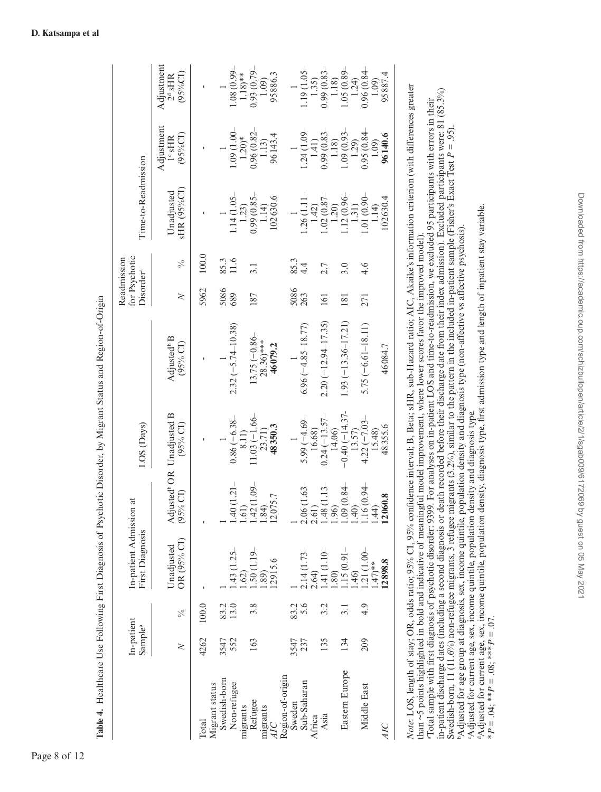|                                               | In-patient<br>Sample <sup>a</sup> |                  | In-patient Admission at<br>First Diagnosis |                            | LOS (Days)                                                 |                                                | Disorder <sup>a</sup> | for Psychotic<br>Readmission | Time-to-Readmission       |                                            |                                       |
|-----------------------------------------------|-----------------------------------|------------------|--------------------------------------------|----------------------------|------------------------------------------------------------|------------------------------------------------|-----------------------|------------------------------|---------------------------|--------------------------------------------|---------------------------------------|
|                                               | $\geq$                            | $\frac{5}{6}$    | OR (95% CI)<br>Unadjusted                  |                            | Adjusted <sup>b</sup> OR Unadjusted B<br>(95% CI) (95% CI) | Adjusted <sup>b</sup> B<br>$(95\% \text{ CI})$ | $\geq$                | $\frac{5}{6}$                | sHR (95%CI)<br>Unadjusted | Adjustment<br>$(95\%$ CI)<br>$1^\circ$ sHR | Adjustment<br>(95%CI)<br>$2^d$ sHR    |
| Total                                         | 4262                              | 100.0            |                                            |                            |                                                            |                                                | 5962                  | 100.0                        |                           |                                            |                                       |
| Swedish-born<br>Non-refugee<br>Migrant status | 552<br>3547                       | 83.2             | $.43(1.25 -$                               | $-12.1$                    | $0.86(-6.38 -$                                             | $2.32(-5.74 - 10.38)$                          | 5086<br>689           | 85.3                         | $1.14(1.05 -$             | $-00.1160$                                 | 1.08 (0.99-                           |
| Refugee<br>migrants                           | 163                               | 3.8              | $.50(1.19 -$<br>(52)                       | $1.42(1.09 -$<br>1.61)     | $11.03(-1.66-$<br>8.11)                                    | $13.75(-0.86-$                                 | 187                   | 3.1                          | $0.99(0.85 -$<br>1.23)    | 0.96 (0.82<br>$1.20$ <sup>*</sup>          | $0.93(0.79 -$<br>$1.18$ <sup>**</sup> |
| migrants<br>ЯC                                |                                   |                  | 12915.6<br>.89                             | 12075.7<br>1.84)           | 48350.3<br>23.71)                                          | $28.36$ <sup>***</sup><br>46079.2              |                       |                              | 102630.6<br>1.14          | 96143.4<br>1.13                            | 95886.3<br>1.09)                      |
| Region-of-origin<br>Sweden                    | 3547                              | 83.2             |                                            |                            |                                                            |                                                | 5086                  | 85.3                         |                           |                                            |                                       |
| Sub-Saharan<br>Africa                         | 237                               | 5.6              | $2.14(1.73-$<br>2.64                       | $\frac{2.06}{2.61}$ (1.63- | $5.99(-4.69 -$<br>16.68)                                   | $6.96 (-4.85 - 18.77)$                         | 263                   | $\frac{4}{4}$                | 1.26(1.11)<br>1.42        | $1.24(1.09 -$<br>1.41)                     | $1.19(1.05 -$<br>1.35)                |
| Asia                                          | 135                               | 3.2              | $\frac{1.41}{1.80}$ (1.10-                 | $\frac{1.48}{1.96}$ (1.13- | $0.24(-13.57-$<br>14.06                                    | $2.20(-12.94 - 17.35)$                         | 161                   | 2.7                          | $1.02(0.87 -$<br>1.20     | $0.99(0.83 -$<br>1.18                      | 0.99(0.83)<br>1.18                    |
| Eastern Europe                                | 134                               | $\overline{3.1}$ | $.15(0.91 -$<br>46)                        | $1.09(0.84 -$<br>1.40      | $-0.40(-14.37$<br>13.57)                                   | $1.93(-13.36-17.21)$                           | 181                   | 3.0                          | $1.12(0.96 -$<br>1.31)    | 1.09(0.93)<br>1.29                         | 1.05(0.89)<br>1.24                    |
| Middle East                                   | 209                               | 4.9              | $.21(1.00 -$<br>$.47)**$                   | 1.16 (0.94<br>1.44         | $4.22(-7.03-$<br>15.48)                                    | $5.75(-6.61-18.11)$                            | 271                   | 4.6                          | $1.01(0.90 -$<br>1.14     | 0.95(0.84)<br>1.09                         | 0.96(0.84)<br>1.09                    |
| AIC                                           |                                   |                  | 2898.8                                     | 12060.8                    | 48355.6                                                    | 46084.7                                        |                       |                              | 02630.4                   | 96140.6                                    | 95887.4                               |

# *Note*: LOS, length of stay; OR, odds ratio; 95% CI, 95% confidence interval; Β, Beta; sHR, sub-Hazard ratio; AIC, Akaike's information criterion (with differences greater than ~5 points highlighted in bold and indicative of meaningful model improvement, where lower scores favor the improved model). than ~5 points highlighted in bold and indicative of meaningful model improvement, where lower scores favor the improved model).

"Total sample with first diagnosis of psychotic disorder: 9399. For analyses on in-patient LOS and time-to-readmission, we excluded 95 participants with errors in their<br>in-patient discharge dates (including a second diagno in-patient discharge dates (including a second diagnosis or death recorded before their discharge date from their index admission). Excluded participants were: 81 (85.3%) aTotal sample with first diagnosis of psychotic disorder: 9399. For analyses on in-patient LOS and time-to-readmission, we excluded 95 participants with errors in their Swedish-born, 11 (11.6%) non-refugee migrants, 3 refugee migrants (3.2%), similar to the pattern in the included in-patient sample (Fisher's Exact Test *P* = .95). Swedish-born, 11 (11.6%) non-refugee migrants, 3 refugee migrants (3.2%), similar to the pattern in the included in-patient sample (Fisher's Exact Test  $P = .95$ ). "Adjusted for current age, sex, income quintile, population density and diagnosis type.<br>"Adjusted for current age, sex, income quintile, population density, diagnosis type, first admission type and length of inpatient stay bAdjusted for age group at diagnosis, sex, income quintile, population density and diagnosis type (non-affective vs affective psychosis). bAdjusted for age group at diagnosis, sex, income quintile, population density and diagnosis type (non-affective vs affective psychosis). cAdjusted for current age, sex, income quintile, population density and diagnosis type.

dAdjusted for current age, sex, income quintile, population density, diagnosis type, first admission type and length of inpatient stay variable. \*  $P = .04$ ; \*\*  $P = .08$ ; \*\*\*  $P = .07$ . \**P* = .04; \*\**P* = .08; \*\*\**P* = .07.

<span id="page-7-0"></span>**Table 4.** Healthcare Use Following First Diagnosis of Psychotic Disorder, by Migrant Status and Region-of-Origin

Table 4. Healthcare Use Following First Diagnosis of Psychotic Disorder, by Migrant Status and Region-of-Origin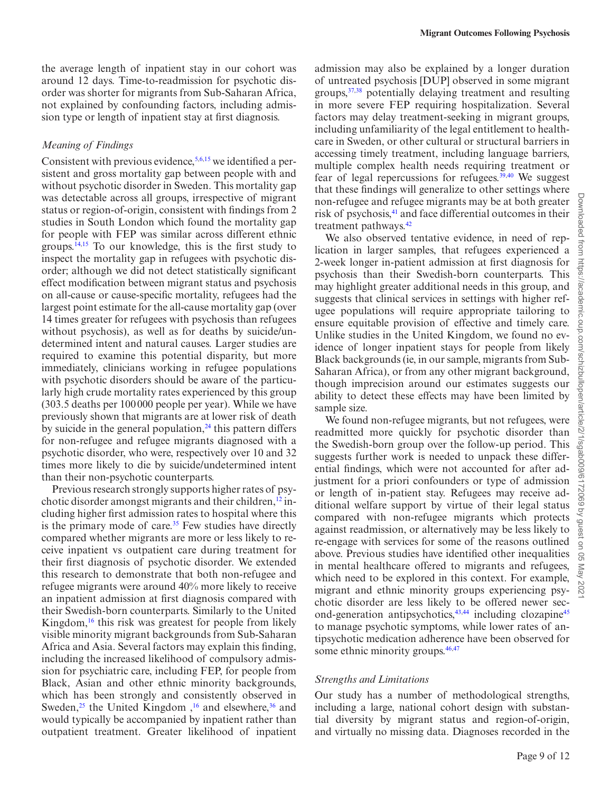the average length of inpatient stay in our cohort was around 12 days. Time-to-readmission for psychotic disorder was shorter for migrants from Sub-Saharan Africa, not explained by confounding factors, including admission type or length of inpatient stay at first diagnosis.

#### *Meaning of Findings*

Consistent with previous evidence,  $5,6,15$  $5,6,15$  $5,6,15$  $5,6,15$  we identified a persistent and gross mortality gap between people with and without psychotic disorder in Sweden. This mortality gap was detectable across all groups, irrespective of migrant status or region-of-origin, consistent with findings from 2 studies in South London which found the mortality gap for people with FEP was similar across different ethnic groups. $14,15$  $14,15$  To our knowledge, this is the first study to inspect the mortality gap in refugees with psychotic disorder; although we did not detect statistically significant effect modification between migrant status and psychosis on all-cause or cause-specific mortality, refugees had the largest point estimate for the all-cause mortality gap (over 14 times greater for refugees with psychosis than refugees without psychosis), as well as for deaths by suicide/undetermined intent and natural causes. Larger studies are required to examine this potential disparity, but more immediately, clinicians working in refugee populations with psychotic disorders should be aware of the particularly high crude mortality rates experienced by this group (303.5 deaths per 100000 people per year). While we have previously shown that migrants are at lower risk of death by suicide in the general population, $24$  this pattern differs for non-refugee and refugee migrants diagnosed with a psychotic disorder, who were, respectively over 10 and 32 times more likely to die by suicide/undetermined intent than their non-psychotic counterparts.

Previous research strongly supports higher rates of psychotic disorder amongst migrants and their children, $^{12}$  including higher first admission rates to hospital where this is the primary mode of care.<sup>35</sup> Few studies have directly compared whether migrants are more or less likely to receive inpatient vs outpatient care during treatment for their first diagnosis of psychotic disorder. We extended this research to demonstrate that both non-refugee and refugee migrants were around 40% more likely to receive an inpatient admission at first diagnosis compared with their Swedish-born counterparts. Similarly to the United Kingdom,<sup>[16](#page-10-4)</sup> this risk was greatest for people from likely visible minority migrant backgrounds from Sub-Saharan Africa and Asia. Several factors may explain this finding, including the increased likelihood of compulsory admission for psychiatric care, including FEP, for people from Black, Asian and other ethnic minority backgrounds, which has been strongly and consistently observed in Sweden,<sup>25</sup> the United Kingdom,<sup>16</sup> and elsewhere,<sup>36</sup> and would typically be accompanied by inpatient rather than outpatient treatment. Greater likelihood of inpatient admission may also be explained by a longer duration of untreated psychosis [DUP] observed in some migrant groups,[37](#page-10-25),[38](#page-10-26) potentially delaying treatment and resulting in more severe FEP requiring hospitalization. Several factors may delay treatment-seeking in migrant groups, including unfamiliarity of the legal entitlement to healthcare in Sweden, or other cultural or structural barriers in accessing timely treatment, including language barriers, multiple complex health needs requiring treatment or fear of legal repercussions for refugees. $39,40$  $39,40$  We suggest that these findings will generalize to other settings where non-refugee and refugee migrants may be at both greater risk of psychosis,<sup>41</sup> and face differential outcomes in their treatment pathways.<sup>[42](#page-10-30)</sup>

We also observed tentative evidence, in need of replication in larger samples, that refugees experienced a 2-week longer in-patient admission at first diagnosis for psychosis than their Swedish-born counterparts. This may highlight greater additional needs in this group, and suggests that clinical services in settings with higher refugee populations will require appropriate tailoring to ensure equitable provision of effective and timely care. Unlike studies in the United Kingdom, we found no evidence of longer inpatient stays for people from likely Black backgrounds (ie, in our sample, migrants from Sub-Saharan Africa), or from any other migrant background, though imprecision around our estimates suggests our ability to detect these effects may have been limited by sample size.

We found non-refugee migrants, but not refugees, were readmitted more quickly for psychotic disorder than the Swedish-born group over the follow-up period. This suggests further work is needed to unpack these differential findings, which were not accounted for after adjustment for a priori confounders or type of admission or length of in-patient stay. Refugees may receive additional welfare support by virtue of their legal status compared with non-refugee migrants which protects against readmission, or alternatively may be less likely to re-engage with services for some of the reasons outlined above. Previous studies have identified other inequalities in mental healthcare offered to migrants and refugees, which need to be explored in this context. For example, migrant and ethnic minority groups experiencing psychotic disorder are less likely to be offered newer sec-ond-generation antipsychotics,<sup>[43](#page-10-31),44</sup> including clozapine<sup>[45](#page-11-0)</sup> to manage psychotic symptoms, while lower rates of antipsychotic medication adherence have been observed for some ethnic minority groups.<sup>46[,47](#page-11-2)</sup>

#### *Strengths and Limitations*

Our study has a number of methodological strengths, including a large, national cohort design with substantial diversity by migrant status and region-of-origin, and virtually no missing data. Diagnoses recorded in the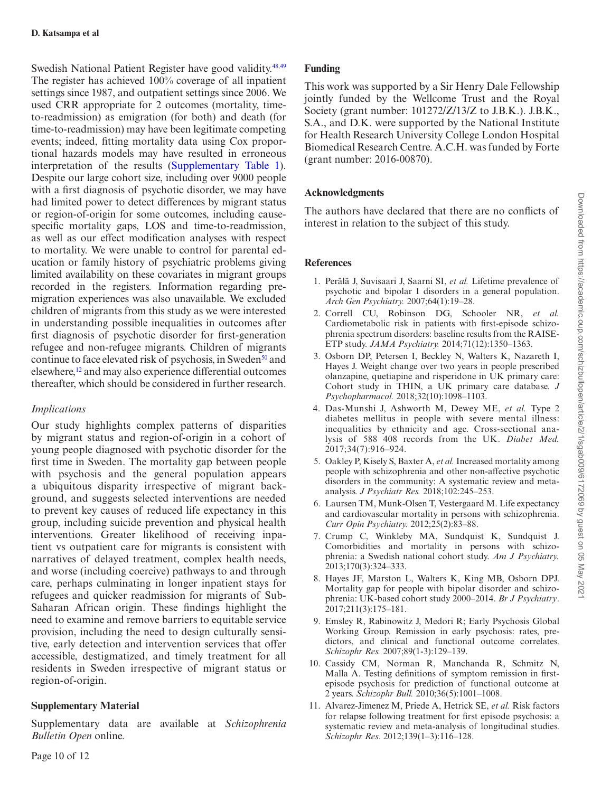Swedish National Patient Register have good validity.<sup>48,[49](#page-11-4)</sup> The register has achieved 100% coverage of all inpatient settings since 1987, and outpatient settings since 2006. We used CRR appropriate for 2 outcomes (mortality, timeto-readmission) as emigration (for both) and death (for time-to-readmission) may have been legitimate competing events; indeed, fitting mortality data using Cox proportional hazards models may have resulted in erroneous interpretation of the results [\(Supplementary Table 1\)](http://academic.oup.com/schizophreniabulletin/article-lookup/doi/10.1093/schizbullopen/sgab009#supplementary-data). Despite our large cohort size, including over 9000 people with a first diagnosis of psychotic disorder, we may have had limited power to detect differences by migrant status or region-of-origin for some outcomes, including causespecific mortality gaps, LOS and time-to-readmission, as well as our effect modification analyses with respect to mortality. We were unable to control for parental education or family history of psychiatric problems giving limited availability on these covariates in migrant groups recorded in the registers. Information regarding premigration experiences was also unavailable. We excluded children of migrants from this study as we were interested in understanding possible inequalities in outcomes after first diagnosis of psychotic disorder for first-generation refugee and non-refugee migrants. Children of migrants continue to face elevated risk of psychosis, in Sweden<sup>50</sup> and elsewhere,[12](#page-10-0) and may also experience differential outcomes thereafter, which should be considered in further research.

# *Implications*

Our study highlights complex patterns of disparities by migrant status and region-of-origin in a cohort of young people diagnosed with psychotic disorder for the first time in Sweden. The mortality gap between people with psychosis and the general population appears a ubiquitous disparity irrespective of migrant background, and suggests selected interventions are needed to prevent key causes of reduced life expectancy in this group, including suicide prevention and physical health interventions. Greater likelihood of receiving inpatient vs outpatient care for migrants is consistent with narratives of delayed treatment, complex health needs, and worse (including coercive) pathways to and through care, perhaps culminating in longer inpatient stays for refugees and quicker readmission for migrants of Sub-Saharan African origin. These findings highlight the need to examine and remove barriers to equitable service provision, including the need to design culturally sensitive, early detection and intervention services that offer accessible, destigmatized, and timely treatment for all residents in Sweden irrespective of migrant status or region-of-origin.

# **Supplementary Material**

Supplementary data are available at *Schizophrenia Bulletin Open* online.

# **Funding**

This work was supported by a Sir Henry Dale Fellowship jointly funded by the Wellcome Trust and the Royal Society (grant number: 101272/Z/13/Z to J.B.K.). J.B.K., S.A., and D.K. were supported by the National Institute for Health Research University College London Hospital Biomedical Research Centre. A.C.H. was funded by Forte (grant number: 2016-00870).

# **Acknowledgments**

The authors have declared that there are no conflicts of interest in relation to the subject of this study.

# **References**

- <span id="page-9-0"></span>1. Perälä J, Suvisaari J, Saarni SI, *et al.* Lifetime prevalence of psychotic and bipolar I disorders in a general population. *Arch Gen Psychiatry.* 2007;64(1):19–28.
- <span id="page-9-1"></span>2. Correll CU, Robinson DG, Schooler NR, *et al.* Cardiometabolic risk in patients with first-episode schizophrenia spectrum disorders: baseline results from the RAISE-ETP study. *JAMA Psychiatry.* 2014;71(12):1350–1363.
- 3. Osborn DP, Petersen I, Beckley N, Walters K, Nazareth I, Hayes J. Weight change over two years in people prescribed olanzapine, quetiapine and risperidone in UK primary care: Cohort study in THIN, a UK primary care database. *J Psychopharmacol.* 2018;32(10):1098–1103.
- <span id="page-9-2"></span>4. Das-Munshi J, Ashworth M, Dewey ME, *et al.* Type 2 diabetes mellitus in people with severe mental illness: inequalities by ethnicity and age. Cross-sectional analysis of 588 408 records from the UK. *Diabet Med.* 2017;34(7):916–924.
- <span id="page-9-3"></span>5. Oakley P, Kisely S, Baxter A, *et al.* Increased mortality among people with schizophrenia and other non-affective psychotic disorders in the community: A systematic review and metaanalysis. *J Psychiatr Res.* 2018;102:245–253.
- <span id="page-9-4"></span>6. Laursen TM, Munk-Olsen T, Vestergaard M. Life expectancy and cardiovascular mortality in persons with schizophrenia. *Curr Opin Psychiatry.* 2012;25(2):83–88.
- <span id="page-9-5"></span>7. Crump C, Winkleby MA, Sundquist K, Sundquist J. Comorbidities and mortality in persons with schizophrenia: a Swedish national cohort study. *Am J Psychiatry.* 2013;170(3):324–333.
- <span id="page-9-6"></span>8. Hayes JF, Marston L, Walters K, King MB, Osborn DPJ. Mortality gap for people with bipolar disorder and schizophrenia: UK-based cohort study 2000–2014. *Br J Psychiatry*. 2017;211(3):175–181.
- <span id="page-9-7"></span>9. Emsley R, Rabinowitz J, Medori R; Early Psychosis Global Working Group. Remission in early psychosis: rates, predictors, and clinical and functional outcome correlates. *Schizophr Res.* 2007;89(1-3):129–139.
- 10. Cassidy CM, Norman R, Manchanda R, Schmitz N, Malla A. Testing definitions of symptom remission in firstepisode psychosis for prediction of functional outcome at 2 years. *Schizophr Bull.* 2010;36(5):1001–1008.
- <span id="page-9-8"></span>11. Alvarez-Jimenez M, Priede A, Hetrick SE, *et al.* Risk factors for relapse following treatment for first episode psychosis: a systematic review and meta-analysis of longitudinal studies. *Schizophr Res*. 2012;139(1–3):116–128.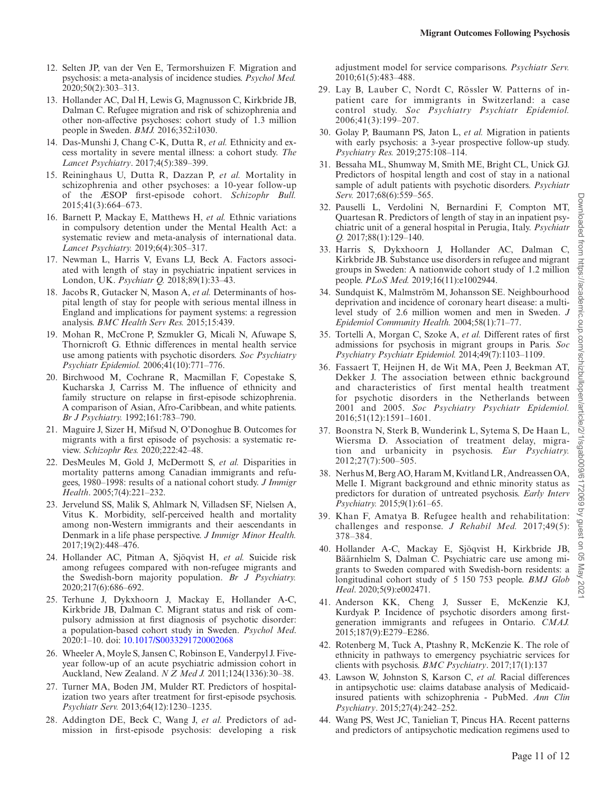- <span id="page-10-0"></span>12. Selten JP, van der Ven E, Termorshuizen F. Migration and psychosis: a meta-analysis of incidence studies. *Psychol Med.* 2020;50(2):303–313.
- <span id="page-10-1"></span>13. Hollander AC, Dal H, Lewis G, Magnusson C, Kirkbride JB, Dalman C. Refugee migration and risk of schizophrenia and other non-affective psychoses: cohort study of 1.3 million people in Sweden. *BMJ.* 2016;352:i1030.
- <span id="page-10-2"></span>14. Das-Munshi J, Chang C-K, Dutta R, *et al.* Ethnicity and excess mortality in severe mental illness: a cohort study. *The Lancet Psychiatry*. 2017;4(5):389–399.
- <span id="page-10-3"></span>15. Reininghaus U, Dutta R, Dazzan P, *et al.* Mortality in schizophrenia and other psychoses: a 10-year follow-up of the ӔSOP first-episode cohort. *Schizophr Bull.* 2015;41(3):664–673.
- <span id="page-10-4"></span>16. Barnett P, Mackay E, Matthews H, *et al.* Ethnic variations in compulsory detention under the Mental Health Act: a systematic review and meta-analysis of international data. *Lancet Psychiatry.* 2019;6(4):305–317.
- <span id="page-10-5"></span>17. Newman L, Harris V, Evans LJ, Beck A. Factors associated with length of stay in psychiatric inpatient services in London, UK. *Psychiatr Q.* 2018;89(1):33–43.
- <span id="page-10-6"></span>18. Jacobs R, Gutacker N, Mason A, *et al.* Determinants of hospital length of stay for people with serious mental illness in England and implications for payment systems: a regression analysis. *BMC Health Serv Res.* 2015;15:439.
- <span id="page-10-7"></span>19. Mohan R, McCrone P, Szmukler G, Micali N, Afuwape S, Thornicroft G. Ethnic differences in mental health service use among patients with psychotic disorders. *Soc Psychiatry Psychiatr Epidemiol.* 2006;41(10):771–776.
- <span id="page-10-8"></span>20. Birchwood M, Cochrane R, Macmillan F, Copestake S, Kucharska J, Carriss M. The influence of ethnicity and family structure on relapse in first-episode schizophrenia. A comparison of Asian, Afro-Caribbean, and white patients. *Br J Psychiatry.* 1992;161:783–790.
- <span id="page-10-9"></span>21. Maguire J, Sizer H, Mifsud N, O'Donoghue B. Outcomes for migrants with a first episode of psychosis: a systematic review. *Schizophr Res.* 2020;222:42–48.
- <span id="page-10-10"></span>22. DesMeules M, Gold J, McDermott S, *et al.* Disparities in mortality patterns among Canadian immigrants and refugees, 1980–1998: results of a national cohort study. *J Immigr Health*. 2005;7(4):221–232.
- <span id="page-10-11"></span>23. Jervelund SS, Malik S, Ahlmark N, Villadsen SF, Nielsen A, Vitus K. Morbidity, self-perceived health and mortality among non-Western immigrants and their aescendants in Denmark in a life phase perspective. *J Immigr Minor Health.* 2017;19(2):448–476.
- <span id="page-10-12"></span>24. Hollander AC, Pitman A, Sjöqvist H, *et al.* Suicide risk among refugees compared with non-refugee migrants and the Swedish-born majority population. *Br J Psychiatry.* 2020;217(6):686–692.
- <span id="page-10-13"></span>25. Terhune J, Dykxhoorn J, Mackay E, Hollander A-C, Kirkbride JB, Dalman C. Migrant status and risk of compulsory admission at first diagnosis of psychotic disorder: a population-based cohort study in Sweden. *Psychol Med*. 2020:1–10. doi: [10.1017/S0033291720002068](https://doi.org/10.1017/S0033291720002068)
- <span id="page-10-14"></span>26. Wheeler A, Moyle S, Jansen C, Robinson E, Vanderpyl J. Fiveyear follow-up of an acute psychiatric admission cohort in Auckland, New Zealand. *N Z Med J.* 2011;124(1336):30–38.
- <span id="page-10-15"></span>27. Turner MA, Boden JM, Mulder RT. Predictors of hospitalization two years after treatment for first-episode psychosis. *Psychiatr Serv.* 2013;64(12):1230–1235.
- <span id="page-10-16"></span>28. Addington DE, Beck C, Wang J, *et al.* Predictors of admission in first-episode psychosis: developing a risk

adjustment model for service comparisons. *Psychiatr Serv.* 2010;61(5):483–488.

- <span id="page-10-17"></span>29. Lay B, Lauber C, Nordt C, Rössler W. Patterns of inpatient care for immigrants in Switzerland: a case control study. *Soc Psychiatry Psychiatr Epidemiol.* 2006;41(3):199–207.
- <span id="page-10-18"></span>30. Golay P, Baumann PS, Jaton L, *et al.* Migration in patients with early psychosis: a 3-year prospective follow-up study. *Psychiatry Res.* 2019;275:108–114.
- <span id="page-10-19"></span>31. Bessaha ML, Shumway M, Smith ME, Bright CL, Unick GJ. Predictors of hospital length and cost of stay in a national sample of adult patients with psychotic disorders. *Psychiatr Serv.* 2017;68(6):559–565.
- <span id="page-10-20"></span>32. Pauselli L, Verdolini N, Bernardini F, Compton MT, Quartesan R. Predictors of length of stay in an inpatient psychiatric unit of a general hospital in Perugia, Italy. *Psychiatr Q.* 2017;88(1):129–140.
- <span id="page-10-21"></span>33. Harris S, Dykxhoorn J, Hollander AC, Dalman C, Kirkbride JB. Substance use disorders in refugee and migrant groups in Sweden: A nationwide cohort study of 1.2 million people. *PLoS Med.* 2019;16(11):e1002944.
- <span id="page-10-22"></span>34. Sundquist K, Malmström M, Johansson SE. Neighbourhood deprivation and incidence of coronary heart disease: a multilevel study of 2.6 million women and men in Sweden. *J Epidemiol Community Health.* 2004;58(1):71–77.
- <span id="page-10-23"></span>35. Tortelli A, Morgan C, Szoke A, *et al.* Different rates of first admissions for psychosis in migrant groups in Paris. *Soc Psychiatry Psychiatr Epidemiol.* 2014;49(7):1103–1109.
- <span id="page-10-24"></span>36. Fassaert T, Heijnen H, de Wit MA, Peen J, Beekman AT, Dekker J. The association between ethnic background and characteristics of first mental health treatment for psychotic disorders in the Netherlands between 2001 and 2005. *Soc Psychiatry Psychiatr Epidemiol.* 2016;51(12):1591–1601.
- <span id="page-10-25"></span>37. Boonstra N, Sterk B, Wunderink L, Sytema S, De Haan L, Wiersma D. Association of treatment delay, migration and urbanicity in psychosis. *Eur Psychiatry.* 2012;27(7):500–505.
- <span id="page-10-26"></span>38. Nerhus M, Berg AO, Haram M, Kvitland LR, Andreassen OA, Melle I. Migrant background and ethnic minority status as predictors for duration of untreated psychosis. *Early Interv Psychiatry.* 2015;9(1):61–65.
- <span id="page-10-27"></span>39. Khan F, Amatya B. Refugee health and rehabilitation: challenges and response. *J Rehabil Med.* 2017;49(5): 378–384.
- <span id="page-10-28"></span>40. Hollander A-C, Mackay E, Sjöqvist H, Kirkbride JB, Bäärnhielm S, Dalman C. Psychiatric care use among migrants to Sweden compared with Swedish-born residents: a longitudinal cohort study of 5 150 753 people. *BMJ Glob Heal*. 2020;5(9):e002471.
- <span id="page-10-29"></span>41. Anderson KK, Cheng J, Susser E, McKenzie KJ, Kurdyak P. Incidence of psychotic disorders among firstgeneration immigrants and refugees in Ontario. *CMAJ.* 2015;187(9):E279–E286.
- <span id="page-10-30"></span>42. Rotenberg M, Tuck A, Ptashny R, McKenzie K. The role of ethnicity in pathways to emergency psychiatric services for clients with psychosis. *BMC Psychiatry*. 2017;17(1):137
- <span id="page-10-31"></span>43. Lawson W, Johnston S, Karson C, *et al.* Racial differences in antipsychotic use: claims database analysis of Medicaidinsured patients with schizophrenia - PubMed. *Ann Clin Psychiatry*. 2015;27(4):242–252.
- <span id="page-10-32"></span>44. Wang PS, West JC, Tanielian T, Pincus HA. Recent patterns and predictors of antipsychotic medication regimens used to